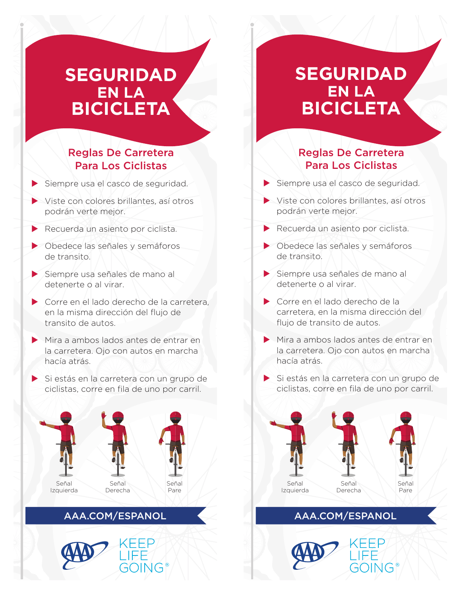# **SEGURIDAD EN LA BICICLETA**

### Reglas De Carretera Para Los Ciclistas

| Siempre usa el casco de seguridad.      |
|-----------------------------------------|
| Viste con colores brillantes, así otros |
| podrán verte mejor.                     |

- **Recuerda un asiento por ciclista.**
- X Obedece las señales y semáforos de transito.
- X Siempre usa señales de mano al detenerte o al virar.
- Corre en el lado derecho de la carretera, en la misma dirección del flujo de transito de autos.
- Mira a ambos lados antes de entrar en la carretera. Ojo con autos en marcha hacía atrás.
- Si estás en la carretera con un grupo de ciclistas, corre en fila de uno por carril.







### AAA.COM/ESPANOL